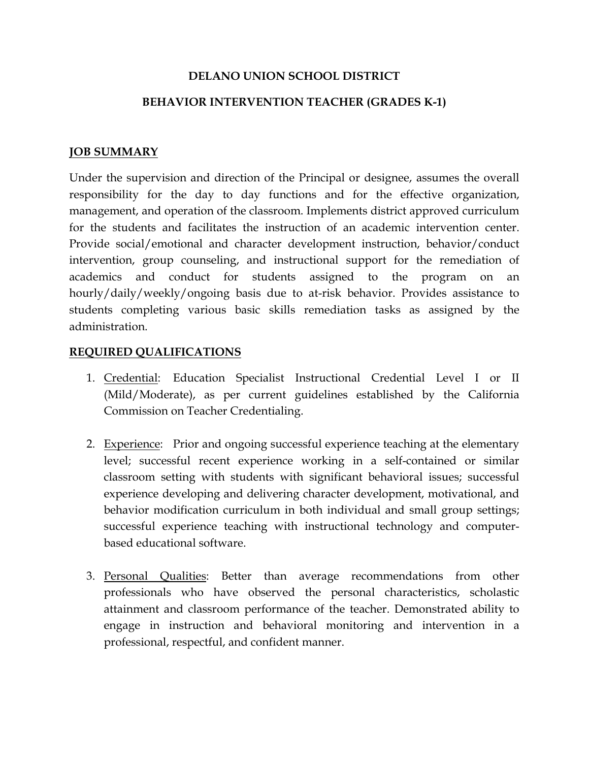## DELANO UNION SCHOOL DISTRICT

## BEHAVIOR INTERVENTION TEACHER (GRADES K-1)

## JOB SUMMARY

Under the supervision and direction of the Principal or designee, assumes the overall responsibility for the day to day functions and for the effective organization, management, and operation of the classroom. Implements district approved curriculum for the students and facilitates the instruction of an academic intervention center. Provide social/emotional and character development instruction, behavior/conduct intervention, group counseling, and instructional support for the remediation of academics and conduct for students assigned to the program on an hourly/daily/weekly/ongoing basis due to at-risk behavior. Provides assistance to students completing various basic skills remediation tasks as assigned by the administration.

## REQUIRED QUALIFICATIONS

- 1. Credential: Education Specialist Instructional Credential Level I or II (Mild/Moderate), as per current guidelines established by the California Commission on Teacher Credentialing.
- 2. Experience: Prior and ongoing successful experience teaching at the elementary level; successful recent experience working in a self-contained or similar classroom setting with students with significant behavioral issues; successful experience developing and delivering character development, motivational, and behavior modification curriculum in both individual and small group settings; successful experience teaching with instructional technology and computerbased educational software.
- 3. Personal Qualities: Better than average recommendations from other professionals who have observed the personal characteristics, scholastic attainment and classroom performance of the teacher. Demonstrated ability to engage in instruction and behavioral monitoring and intervention in a professional, respectful, and confident manner.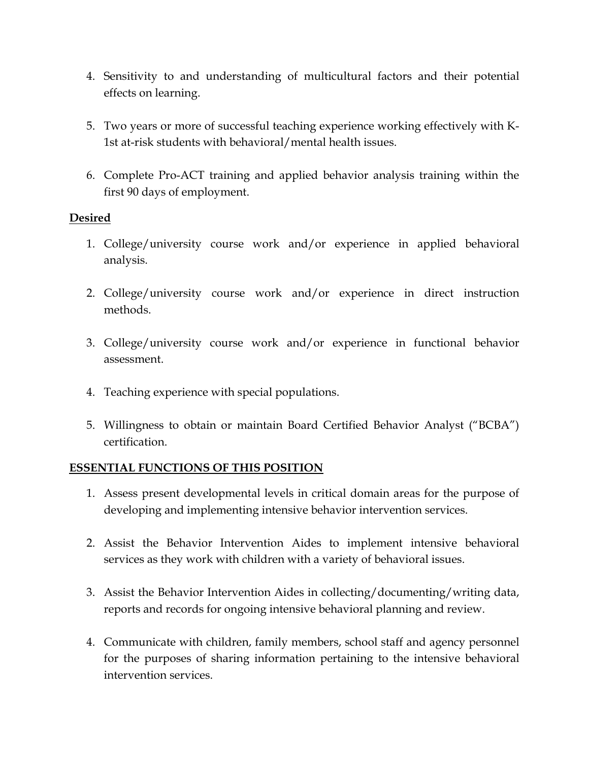- 4. Sensitivity to and understanding of multicultural factors and their potential effects on learning.
- 5. Two years or more of successful teaching experience working effectively with K-1st at-risk students with behavioral/mental health issues.
- 6. Complete Pro-ACT training and applied behavior analysis training within the first 90 days of employment.

# Desired

- 1. College/university course work and/or experience in applied behavioral analysis.
- 2. College/university course work and/or experience in direct instruction methods.
- 3. College/university course work and/or experience in functional behavior assessment.
- 4. Teaching experience with special populations.
- 5. Willingness to obtain or maintain Board Certified Behavior Analyst ("BCBA") certification.

#### ESSENTIAL FUNCTIONS OF THIS POSITION

- 1. Assess present developmental levels in critical domain areas for the purpose of developing and implementing intensive behavior intervention services.
- 2. Assist the Behavior Intervention Aides to implement intensive behavioral services as they work with children with a variety of behavioral issues.
- 3. Assist the Behavior Intervention Aides in collecting/documenting/writing data, reports and records for ongoing intensive behavioral planning and review.
- 4. Communicate with children, family members, school staff and agency personnel for the purposes of sharing information pertaining to the intensive behavioral intervention services.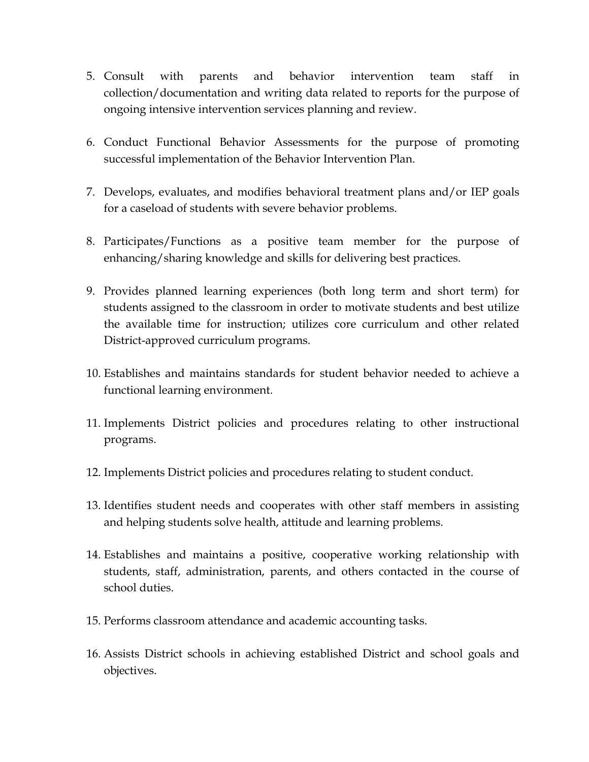- 5. Consult with parents and behavior intervention team staff in collection/documentation and writing data related to reports for the purpose of ongoing intensive intervention services planning and review.
- 6. Conduct Functional Behavior Assessments for the purpose of promoting successful implementation of the Behavior Intervention Plan.
- 7. Develops, evaluates, and modifies behavioral treatment plans and/or IEP goals for a caseload of students with severe behavior problems.
- 8. Participates/Functions as a positive team member for the purpose of enhancing/sharing knowledge and skills for delivering best practices.
- 9. Provides planned learning experiences (both long term and short term) for students assigned to the classroom in order to motivate students and best utilize the available time for instruction; utilizes core curriculum and other related District-approved curriculum programs.
- 10. Establishes and maintains standards for student behavior needed to achieve a functional learning environment.
- 11. Implements District policies and procedures relating to other instructional programs.
- 12. Implements District policies and procedures relating to student conduct.
- 13. Identifies student needs and cooperates with other staff members in assisting and helping students solve health, attitude and learning problems.
- 14. Establishes and maintains a positive, cooperative working relationship with students, staff, administration, parents, and others contacted in the course of school duties.
- 15. Performs classroom attendance and academic accounting tasks.
- 16. Assists District schools in achieving established District and school goals and objectives.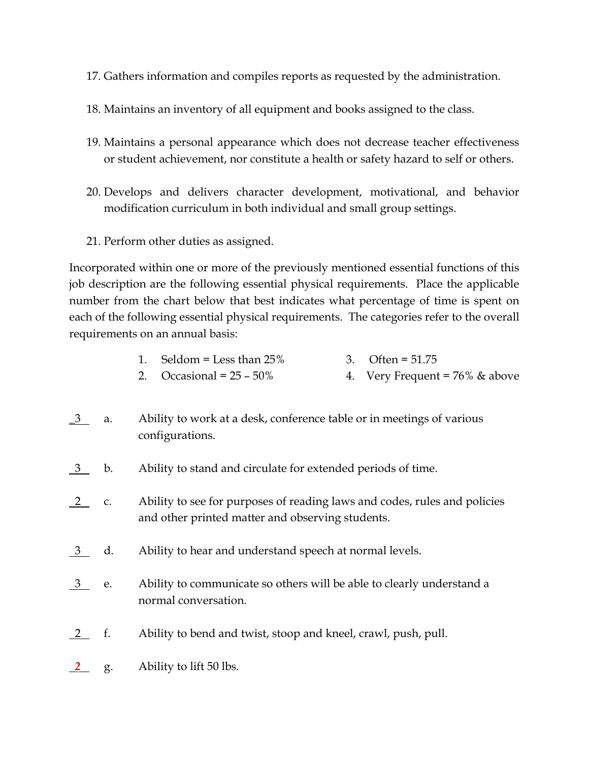- 17. Gathers information and compiles reports as requested by the administration.
- 18. Maintains an inventory of all equipment and books assigned to the class.
- 19. Maintains a personal appearance which does not decrease teacher effectiveness or student achievement, nor constitute a health or safety hazard to self or others.
- 20. Develops and delivers character development, motivational, and behavior modification curriculum in both individual and small group settings.
- 21. Perform other duties as assigned.

Incorporated within one or more of the previously mentioned essential functions of this job description are the following essential physical requirements. Place the applicable number from the chart below that best indicates what percentage of time is spent on each of the following essential physical requirements. The categories refer to the overall requirements on an annual basis:

| 1. Seldom = Less than $25\%$ | 3. Often = $51.75$                |
|------------------------------|-----------------------------------|
| 2. Occasional = $25 - 50\%$  | 4. Very Frequent = $76\%$ & above |

- <u>3</u> a. Ability to work at a desk, conference table or in meetings of various configurations.
- 3 b. Ability to stand and circulate for extended periods of time.
- $2$  c. Ability to see for purposes of reading laws and codes, rules and policies and other printed matter and observing students.
- <u>3</u> d. Ability to hear and understand speech at normal levels.
- 3 e. Ability to communicate so others will be able to clearly understand a normal conversation.
- 2 f. Ability to bend and twist, stoop and kneel, crawl, push, pull.
- 2 g. Ability to lift 50 lbs.